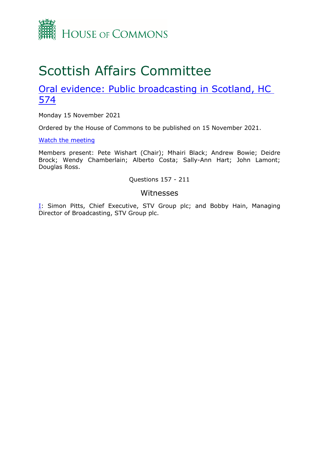

# Scottish Affairs Committee

## [Oral](https://committees.parliament.uk/work/1381/public-broadcasting-in-scotland/) [evidence:](https://committees.parliament.uk/work/1381/public-broadcasting-in-scotland/) [Public](https://committees.parliament.uk/work/1381/public-broadcasting-in-scotland/) [broadcasting](https://committees.parliament.uk/work/1381/public-broadcasting-in-scotland/) [in](https://committees.parliament.uk/work/1381/public-broadcasting-in-scotland/) [Scotland,](https://committees.parliament.uk/work/1381/public-broadcasting-in-scotland/) [HC](https://committees.parliament.uk/work/1381/public-broadcasting-in-scotland/) [574](https://committees.parliament.uk/work/1381/public-broadcasting-in-scotland/)

Monday 15 November 2021

Ordered by the House of Commons to be published on 15 November 2021.

[Watch](https://parliamentlive.tv/event/index/696b592e-ff9d-455e-9a26-2b7d94e252f4) [the](https://parliamentlive.tv/event/index/696b592e-ff9d-455e-9a26-2b7d94e252f4) [meeting](https://parliamentlive.tv/event/index/696b592e-ff9d-455e-9a26-2b7d94e252f4)

Members present: Pete Wishart (Chair); Mhairi Black; Andrew Bowie; Deidre Brock; Wendy Chamberlain; Alberto Costa; Sally-Ann Hart; John Lamont; Douglas Ross.

Questions 157 - 211

## Witnesses

[I:](#page-1-0) Simon Pitts, Chief Executive, STV Group plc; and Bobby Hain, Managing Director of Broadcasting, STV Group plc.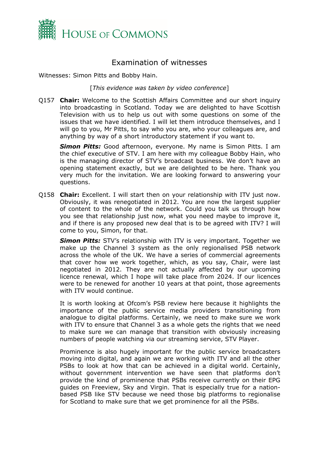

## <span id="page-1-0"></span>Examination of witnesses

Witnesses: Simon Pitts and Bobby Hain.

[*This evidence was taken by video conference*]

Q157 **Chair:** Welcome to the Scottish Affairs Committee and our short inquiry into broadcasting in Scotland. Today we are delighted to have Scottish Television with us to help us out with some questions on some of the issues that we have identified. I will let them introduce themselves, and I will go to you, Mr Pitts, to say who you are, who your colleagues are, and anything by way of a short introductory statement if you want to.

*Simon Pitts:* Good afternoon, everyone. My name is Simon Pitts. I am the chief executive of STV. I am here with my colleague Bobby Hain, who is the managing director of STV's broadcast business. We don't have an opening statement exactly, but we are delighted to be here. Thank you very much for the invitation. We are looking forward to answering your questions.

Q158 **Chair:** Excellent. I will start then on your relationship with ITV just now. Obviously, it was renegotiated in 2012. You are now the largest supplier of content to the whole of the network. Could you talk us through how you see that relationship just now, what you need maybe to improve it, and if there is any proposed new deal that is to be agreed with ITV? I will come to you, Simon, for that.

*Simon Pitts:* STV's relationship with ITV is very important. Together we make up the Channel 3 system as the only regionalised PSB network across the whole of the UK. We have a series of commercial agreements that cover how we work together, which, as you say, Chair, were last negotiated in 2012. They are not actually affected by our upcoming licence renewal, which I hope will take place from 2024. If our licences were to be renewed for another 10 years at that point, those agreements with ITV would continue.

It is worth looking at Ofcom's PSB review here because it highlights the importance of the public service media providers transitioning from analogue to digital platforms. Certainly, we need to make sure we work with ITV to ensure that Channel 3 as a whole gets the rights that we need to make sure we can manage that transition with obviously increasing numbers of people watching via our streaming service, STV Player.

Prominence is also hugely important for the public service broadcasters moving into digital, and again we are working with ITV and all the other PSBs to look at how that can be achieved in a digital world. Certainly, without government intervention we have seen that platforms don't provide the kind of prominence that PSBs receive currently on their EPG guides on Freeview, Sky and Virgin. That is especially true for a nationbased PSB like STV because we need those big platforms to regionalise for Scotland to make sure that we get prominence for all the PSBs.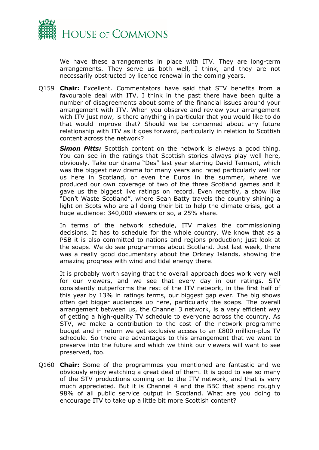

We have these arrangements in place with ITV. They are long-term arrangements. They serve us both well, I think, and they are not necessarily obstructed by licence renewal in the coming years.

Q159 **Chair:** Excellent. Commentators have said that STV benefits from a favourable deal with ITV. I think in the past there have been quite a number of disagreements about some of the financial issues around your arrangement with ITV. When you observe and review your arrangement with ITV just now, is there anything in particular that you would like to do that would improve that? Should we be concerned about any future relationship with ITV as it goes forward, particularly in relation to Scottish content across the network?

*Simon Pitts:* Scottish content on the network is always a good thing. You can see in the ratings that Scottish stories always play well here, obviously. Take our drama "Des" last year starring David Tennant, which was the biggest new drama for many years and rated particularly well for us here in Scotland, or even the Euros in the summer, where we produced our own coverage of two of the three Scotland games and it gave us the biggest live ratings on record. Even recently, a show like "Don't Waste Scotland", where Sean Batty travels the country shining a light on Scots who are all doing their bit to help the climate crisis, got a huge audience: 340,000 viewers or so, a 25% share.

In terms of the network schedule, ITV makes the commissioning decisions. It has to schedule for the whole country. We know that as a PSB it is also committed to nations and regions production; just look at the soaps. We do see programmes about Scotland. Just last week, there was a really good documentary about the Orkney Islands, showing the amazing progress with wind and tidal energy there.

It is probably worth saying that the overall approach does work very well for our viewers, and we see that every day in our ratings. STV consistently outperforms the rest of the ITV network, in the first half of this year by 13% in ratings terms, our biggest gap ever. The big shows often get bigger audiences up here, particularly the soaps. The overall arrangement between us, the Channel 3 network, is a very efficient way of getting a high-quality TV schedule to everyone across the country. As STV, we make a contribution to the cost of the network programme budget and in return we get exclusive access to an £800 million-plus TV schedule. So there are advantages to this arrangement that we want to preserve into the future and which we think our viewers will want to see preserved, too.

Q160 **Chair:** Some of the programmes you mentioned are fantastic and we obviously enjoy watching a great deal of them. It is good to see so many of the STV productions coming on to the ITV network, and that is very much appreciated. But it is Channel 4 and the BBC that spend roughly 98% of all public service output in Scotland. What are you doing to encourage ITV to take up a little bit more Scottish content?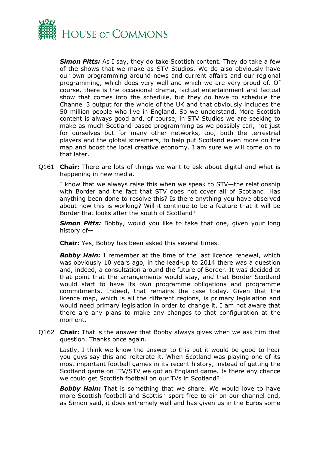

*Simon Pitts:* As I say, they do take Scottish content. They do take a few of the shows that we make as STV Studios. We do also obviously have our own programming around news and current affairs and our regional programming, which does very well and which we are very proud of. Of course, there is the occasional drama, factual entertainment and factual show that comes into the schedule, but they do have to schedule the Channel 3 output for the whole of the UK and that obviously includes the 50 million people who live in England. So we understand. More Scottish content is always good and, of course, in STV Studios we are seeking to make as much Scotland-based programming as we possibly can, not just for ourselves but for many other networks, too, both the terrestrial players and the global streamers, to help put Scotland even more on the map and boost the local creative economy. I am sure we will come on to that later.

Q161 **Chair:** There are lots of things we want to ask about digital and what is happening in new media.

I know that we always raise this when we speak to STV—the relationship with Border and the fact that STV does not cover all of Scotland. Has anything been done to resolve this? Is there anything you have observed about how this is working? Will it continue to be a feature that it will be Border that looks after the south of Scotland?

*Simon Pitts:* Bobby, would you like to take that one, given your long history of—

**Chair:** Yes, Bobby has been asked this several times.

*Bobby Hain:* I remember at the time of the last licence renewal, which was obviously 10 years ago, in the lead-up to 2014 there was a question and, indeed, a consultation around the future of Border. It was decided at that point that the arrangements would stay, and that Border Scotland would start to have its own programme obligations and programme commitments. Indeed, that remains the case today. Given that the licence map, which is all the different regions, is primary legislation and would need primary legislation in order to change it, I am not aware that there are any plans to make any changes to that configuration at the moment.

Q162 **Chair:** That is the answer that Bobby always gives when we ask him that question. Thanks once again.

Lastly, I think we know the answer to this but it would be good to hear you guys say this and reiterate it. When Scotland was playing one of its most important football games in its recent history, instead of getting the Scotland game on ITV/STV we got an England game. Is there any chance we could get Scottish football on our TVs in Scotland?

**Bobby Hain:** That is something that we share. We would love to have more Scottish football and Scottish sport free-to-air on our channel and, as Simon said, it does extremely well and has given us in the Euros some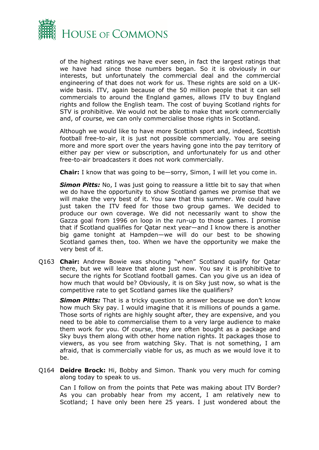

of the highest ratings we have ever seen, in fact the largest ratings that we have had since those numbers began. So it is obviously in our interests, but unfortunately the commercial deal and the commercial engineering of that does not work for us. These rights are sold on a UKwide basis. ITV, again because of the 50 million people that it can sell commercials to around the England games, allows ITV to buy England rights and follow the English team. The cost of buying Scotland rights for STV is prohibitive. We would not be able to make that work commercially and, of course, we can only commercialise those rights in Scotland.

Although we would like to have more Scottish sport and, indeed, Scottish football free-to-air, it is just not possible commercially. You are seeing more and more sport over the years having gone into the pay territory of either pay per view or subscription, and unfortunately for us and other free-to-air broadcasters it does not work commercially.

**Chair:** I know that was going to be—sorry, Simon, I will let you come in.

**Simon Pitts:** No, I was just going to reassure a little bit to say that when we do have the opportunity to show Scotland games we promise that we will make the very best of it. You saw that this summer. We could have just taken the ITV feed for those two group games. We decided to produce our own coverage. We did not necessarily want to show the Gazza goal from 1996 on loop in the run-up to those games. I promise that if Scotland qualifies for Qatar next year—and I know there is another big game tonight at Hampden—we will do our best to be showing Scotland games then, too. When we have the opportunity we make the very best of it.

Q163 **Chair:** Andrew Bowie was shouting "when" Scotland qualify for Qatar there, but we will leave that alone just now. You say it is prohibitive to secure the rights for Scotland football games. Can you give us an idea of how much that would be? Obviously, it is on Sky just now, so what is the competitive rate to get Scotland games like the qualifiers?

*Simon Pitts:* That is a tricky question to answer because we don't know how much Sky pay. I would imagine that it is millions of pounds a game. Those sorts of rights are highly sought after, they are expensive, and you need to be able to commercialise them to a very large audience to make them work for you. Of course, they are often bought as a package and Sky buys them along with other home nation rights. It packages those to viewers, as you see from watching Sky. That is not something, I am afraid, that is commercially viable for us, as much as we would love it to be.

Q164 **Deidre Brock:** Hi, Bobby and Simon. Thank you very much for coming along today to speak to us.

Can I follow on from the points that Pete was making about ITV Border? As you can probably hear from my accent, I am relatively new to Scotland; I have only been here 25 years. I just wondered about the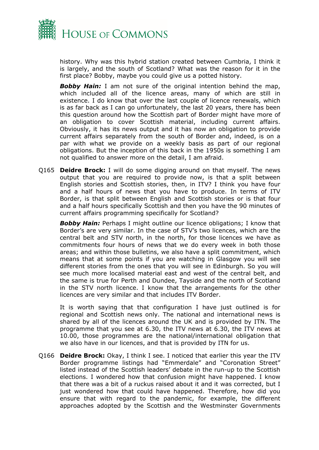

history. Why was this hybrid station created between Cumbria, I think it is largely, and the south of Scotland? What was the reason for it in the first place? Bobby, maybe you could give us a potted history.

**Bobby Hain:** I am not sure of the original intention behind the map, which included all of the licence areas, many of which are still in existence. I do know that over the last couple of licence renewals, which is as far back as I can go unfortunately, the last 20 years, there has been this question around how the Scottish part of Border might have more of an obligation to cover Scottish material, including current affairs. Obviously, it has its news output and it has now an obligation to provide current affairs separately from the south of Border and, indeed, is on a par with what we provide on a weekly basis as part of our regional obligations. But the inception of this back in the 1950s is something I am not qualified to answer more on the detail, I am afraid.

Q165 **Deidre Brock:** I will do some digging around on that myself. The news output that you are required to provide now, is that a split between English stories and Scottish stories, then, in ITV? I think you have four and a half hours of news that you have to produce. In terms of ITV Border, is that split between English and Scottish stories or is that four and a half hours specifically Scottish and then you have the 90 minutes of current affairs programming specifically for Scotland?

*Bobby Hain:* Perhaps I might outline our licence obligations; I know that Border's are very similar. In the case of STV's two licences, which are the central belt and STV north, in the north, for those licences we have as commitments four hours of news that we do every week in both those areas; and within those bulletins, we also have a split commitment, which means that at some points if you are watching in Glasgow you will see different stories from the ones that you will see in Edinburgh. So you will see much more localised material east and west of the central belt, and the same is true for Perth and Dundee, Tayside and the north of Scotland in the STV north licence. I know that the arrangements for the other licences are very similar and that includes ITV Border.

It is worth saying that that configuration I have just outlined is for regional and Scottish news only. The national and international news is shared by all of the licences around the UK and is provided by ITN. The programme that you see at 6.30, the ITV news at 6.30, the ITV news at 10.00, those programmes are the national/international obligation that we also have in our licences, and that is provided by ITN for us.

Q166 **Deidre Brock:** Okay, I think I see. I noticed that earlier this year the ITV Border programme listings had "Emmerdale" and "Coronation Street" listed instead of the Scottish leaders' debate in the run-up to the Scottish elections. I wondered how that confusion might have happened. I know that there was a bit of a ruckus raised about it and it was corrected, but I just wondered how that could have happened. Therefore, how did you ensure that with regard to the pandemic, for example, the different approaches adopted by the Scottish and the Westminster Governments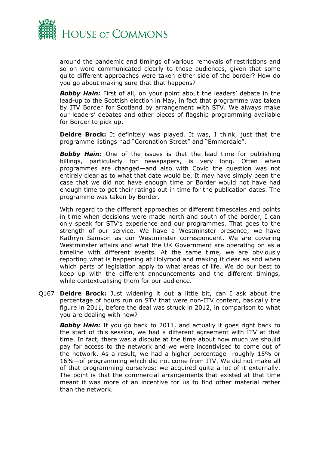

around the pandemic and timings of various removals of restrictions and so on were communicated clearly to those audiences, given that some quite different approaches were taken either side of the border? How do you go about making sure that that happens?

**Bobby Hain:** First of all, on your point about the leaders' debate in the lead-up to the Scottish election in May, in fact that programme was taken by ITV Border for Scotland by arrangement with STV. We always make our leaders' debates and other pieces of flagship programming available for Border to pick up.

**Deidre Brock:** It definitely was played. It was, I think, just that the programme listings had "Coronation Street" and "Emmerdale".

*Bobby Hain:* One of the issues is that the lead time for publishing billings, particularly for newspapers, is very long. Often when programmes are changed—and also with Covid the question was not entirely clear as to what that date would be. It may have simply been the case that we did not have enough time or Border would not have had enough time to get their ratings out in time for the publication dates. The programme was taken by Border.

With regard to the different approaches or different timescales and points in time when decisions were made north and south of the border, I can only speak for STV's experience and our programmes. That goes to the strength of our service. We have a Westminster presence; we have Kathryn Samson as our Westminster correspondent. We are covering Westminster affairs and what the UK Government are operating on as a timeline with different events. At the same time, we are obviously reporting what is happening at Holyrood and making it clear as and when which parts of legislation apply to what areas of life. We do our best to keep up with the different announcements and the different timings, while contextualising them for our audience.

Q167 **Deidre Brock:** Just widening it out a little bit, can I ask about the percentage of hours run on STV that were non-ITV content, basically the figure in 2011, before the deal was struck in 2012, in comparison to what you are dealing with now?

*Bobby Hain:* If you go back to 2011, and actually it goes right back to the start of this session, we had a different agreement with ITV at that time. In fact, there was a dispute at the time about how much we should pay for access to the network and we were incentivised to come out of the network. As a result, we had a higher percentage—roughly 15% or 16%—of programming which did not come from ITV. We did not make all of that programming ourselves; we acquired quite a lot of it externally. The point is that the commercial arrangements that existed at that time meant it was more of an incentive for us to find other material rather than the network.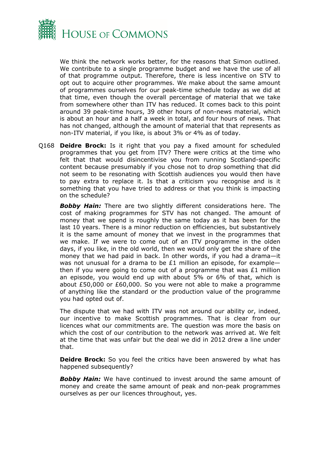

We think the network works better, for the reasons that Simon outlined. We contribute to a single programme budget and we have the use of all of that programme output. Therefore, there is less incentive on STV to opt out to acquire other programmes. We make about the same amount of programmes ourselves for our peak-time schedule today as we did at that time, even though the overall percentage of material that we take from somewhere other than ITV has reduced. It comes back to this point around 39 peak-time hours, 39 other hours of non-news material, which is about an hour and a half a week in total, and four hours of news. That has not changed, although the amount of material that that represents as non-ITV material, if you like, is about 3% or 4% as of today.

Q168 **Deidre Brock:** Is it right that you pay a fixed amount for scheduled programmes that you get from ITV? There were critics at the time who felt that that would disincentivise you from running Scotland-specific content because presumably if you chose not to drop something that did not seem to be resonating with Scottish audiences you would then have to pay extra to replace it. Is that a criticism you recognise and is it something that you have tried to address or that you think is impacting on the schedule?

**Bobby Hain:** There are two slightly different considerations here. The cost of making programmes for STV has not changed. The amount of money that we spend is roughly the same today as it has been for the last 10 years. There is a minor reduction on efficiencies, but substantively it is the same amount of money that we invest in the programmes that we make. If we were to come out of an ITV programme in the olden days, if you like, in the old world, then we would only get the share of the money that we had paid in back. In other words, if you had a drama—it was not unusual for a drama to be £1 million an episode, for example then if you were going to come out of a programme that was  $£1$  million an episode, you would end up with about 5% or 6% of that, which is about £50,000 or £60,000. So you were not able to make a programme of anything like the standard or the production value of the programme you had opted out of.

The dispute that we had with ITV was not around our ability or, indeed, our incentive to make Scottish programmes. That is clear from our licences what our commitments are. The question was more the basis on which the cost of our contribution to the network was arrived at. We felt at the time that was unfair but the deal we did in 2012 drew a line under that.

**Deidre Brock:** So you feel the critics have been answered by what has happened subsequently?

*Bobby Hain:* We have continued to invest around the same amount of money and create the same amount of peak and non-peak programmes ourselves as per our licences throughout, yes.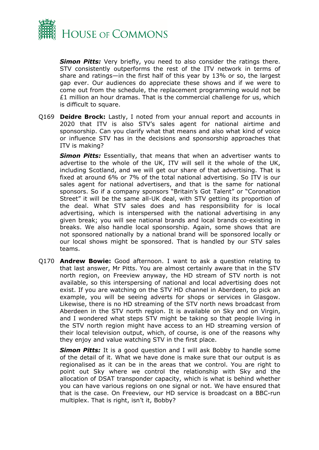

**Simon Pitts:** Very briefly, you need to also consider the ratings there. STV consistently outperforms the rest of the ITV network in terms of share and ratings—in the first half of this year by 13% or so, the largest gap ever. Our audiences do appreciate these shows and if we were to come out from the schedule, the replacement programming would not be  $£1$  million an hour dramas. That is the commercial challenge for us, which is difficult to square.

Q169 **Deidre Brock:** Lastly, I noted from your annual report and accounts in 2020 that ITV is also STV's sales agent for national airtime and sponsorship. Can you clarify what that means and also what kind of voice or influence STV has in the decisions and sponsorship approaches that ITV is making?

*Simon Pitts:* Essentially, that means that when an advertiser wants to advertise to the whole of the UK, ITV will sell it the whole of the UK, including Scotland, and we will get our share of that advertising. That is fixed at around 6% or 7% of the total national advertising. So ITV is our sales agent for national advertisers, and that is the same for national sponsors. So if a company sponsors "Britain's Got Talent" or "Coronation Street" it will be the same all-UK deal, with STV getting its proportion of the deal. What STV sales does and has responsibility for is local advertising, which is interspersed with the national advertising in any given break; you will see national brands and local brands co-existing in breaks. We also handle local sponsorship. Again, some shows that are not sponsored nationally by a national brand will be sponsored locally or our local shows might be sponsored. That is handled by our STV sales teams.

Q170 **Andrew Bowie:** Good afternoon. I want to ask a question relating to that last answer, Mr Pitts. You are almost certainly aware that in the STV north region, on Freeview anyway, the HD stream of STV north is not available, so this interspersing of national and local advertising does not exist. If you are watching on the STV HD channel in Aberdeen, to pick an example, you will be seeing adverts for shops or services in Glasgow. Likewise, there is no HD streaming of the STV north news broadcast from Aberdeen in the STV north region. It is available on Sky and on Virgin, and I wondered what steps STV might be taking so that people living in the STV north region might have access to an HD streaming version of their local television output, which, of course, is one of the reasons why they enjoy and value watching STV in the first place.

**Simon Pitts:** It is a good question and I will ask Bobby to handle some of the detail of it. What we have done is make sure that our output is as regionalised as it can be in the areas that we control. You are right to point out Sky where we control the relationship with Sky and the allocation of DSAT transponder capacity, which is what is behind whether you can have various regions on one signal or not. We have ensured that that is the case. On Freeview, our HD service is broadcast on a BBC-run multiplex. That is right, isn't it, Bobby?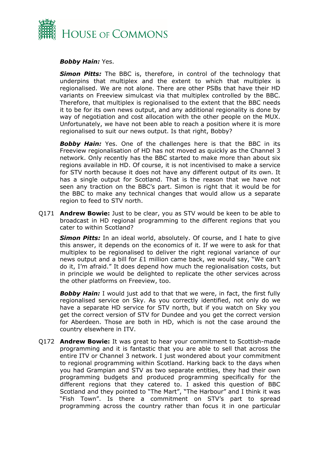

#### *Bobby Hain:* Yes.

*Simon Pitts:* The BBC is, therefore, in control of the technology that underpins that multiplex and the extent to which that multiplex is regionalised. We are not alone. There are other PSBs that have their HD variants on Freeview simulcast via that multiplex controlled by the BBC. Therefore, that multiplex is regionalised to the extent that the BBC needs it to be for its own news output, and any additional regionality is done by way of negotiation and cost allocation with the other people on the MUX. Unfortunately, we have not been able to reach a position where it is more regionalised to suit our news output. Is that right, Bobby?

**Bobby Hain:** Yes. One of the challenges here is that the BBC in its Freeview regionalisation of HD has not moved as quickly as the Channel 3 network. Only recently has the BBC started to make more than about six regions available in HD. Of course, it is not incentivised to make a service for STV north because it does not have any different output of its own. It has a single output for Scotland. That is the reason that we have not seen any traction on the BBC's part. Simon is right that it would be for the BBC to make any technical changes that would allow us a separate region to feed to STV north.

Q171 **Andrew Bowie:** Just to be clear, you as STV would be keen to be able to broadcast in HD regional programming to the different regions that you cater to within Scotland?

*Simon Pitts:* In an ideal world, absolutely. Of course, and I hate to give this answer, it depends on the economics of it. If we were to ask for that multiplex to be regionalised to deliver the right regional variance of our news output and a bill for £1 million came back, we would say, "We can't do it, I'm afraid." It does depend how much the regionalisation costs, but in principle we would be delighted to replicate the other services across the other platforms on Freeview, too.

**Bobby Hain:** I would just add to that that we were, in fact, the first fully regionalised service on Sky. As you correctly identified, not only do we have a separate HD service for STV north, but if you watch on Sky you get the correct version of STV for Dundee and you get the correct version for Aberdeen. Those are both in HD, which is not the case around the country elsewhere in ITV.

Q172 **Andrew Bowie:** It was great to hear your commitment to Scottish-made programming and it is fantastic that you are able to sell that across the entire ITV or Channel 3 network. I just wondered about your commitment to regional programming within Scotland. Harking back to the days when you had Grampian and STV as two separate entities, they had their own programming budgets and produced programming specifically for the different regions that they catered to. I asked this question of BBC Scotland and they pointed to "The Mart", "The Harbour" and I think it was "Fish Town". Is there a commitment on STV's part to spread programming across the country rather than focus it in one particular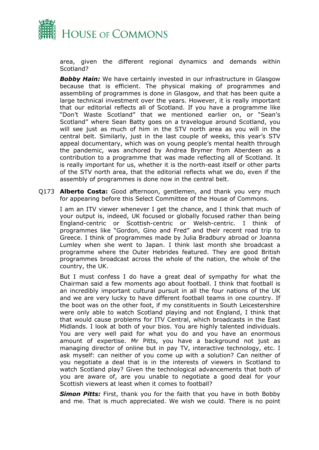

area, given the different regional dynamics and demands within Scotland?

**Bobby Hain:** We have certainly invested in our infrastructure in Glasgow because that is efficient. The physical making of programmes and assembling of programmes is done in Glasgow, and that has been quite a large technical investment over the years. However, it is really important that our editorial reflects all of Scotland. If you have a programme like "Don't Waste Scotland" that we mentioned earlier on, or "Sean's Scotland" where Sean Batty goes on a travelogue around Scotland, you will see just as much of him in the STV north area as you will in the central belt. Similarly, just in the last couple of weeks, this year's STV appeal documentary, which was on young people's mental health through the pandemic, was anchored by Andrea Brymer from Aberdeen as a contribution to a programme that was made reflecting all of Scotland. It is really important for us, whether it is the north-east itself or other parts of the STV north area, that the editorial reflects what we do, even if the assembly of programmes is done now in the central belt.

Q173 **Alberto Costa:** Good afternoon, gentlemen, and thank you very much for appearing before this Select Committee of the House of Commons.

I am an ITV viewer whenever I get the chance, and I think that much of your output is, indeed, UK focused or globally focused rather than being England-centric or Scottish-centric or Welsh-centric. I think of programmes like "Gordon, Gino and Fred" and their recent road trip to Greece. I think of programmes made by Julia Bradbury abroad or Joanna Lumley when she went to Japan. I think last month she broadcast a programme where the Outer Hebrides featured. They are good British programmes broadcast across the whole of the nation, the whole of the country, the UK.

But I must confess I do have a great deal of sympathy for what the Chairman said a few moments ago about football. I think that football is an incredibly important cultural pursuit in all the four nations of the UK and we are very lucky to have different football teams in one country. If the boot was on the other foot, if my constituents in South Leicestershire were only able to watch Scotland playing and not England, I think that that would cause problems for ITV Central, which broadcasts in the East Midlands. I look at both of your bios. You are highly talented individuals. You are very well paid for what you do and you have an enormous amount of expertise. Mr Pitts, you have a background not just as managing director of online but in pay TV, interactive technology, etc. I ask myself: can neither of you come up with a solution? Can neither of you negotiate a deal that is in the interests of viewers in Scotland to watch Scotland play? Given the technological advancements that both of you are aware of, are you unable to negotiate a good deal for your Scottish viewers at least when it comes to football?

*Simon Pitts:* First, thank you for the faith that you have in both Bobby and me. That is much appreciated. We wish we could. There is no point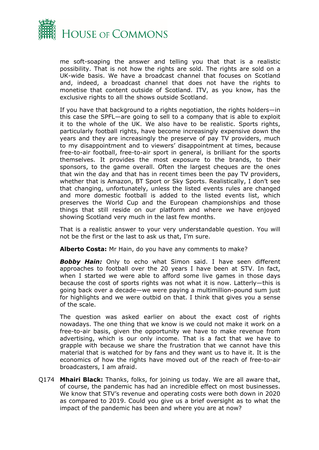

me soft-soaping the answer and telling you that that is a realistic possibility. That is not how the rights are sold. The rights are sold on a UK-wide basis. We have a broadcast channel that focuses on Scotland and, indeed, a broadcast channel that does not have the rights to monetise that content outside of Scotland. ITV, as you know, has the exclusive rights to all the shows outside Scotland.

If you have that background to a rights negotiation, the rights holders—in this case the SPFL—are going to sell to a company that is able to exploit it to the whole of the UK. We also have to be realistic. Sports rights, particularly football rights, have become increasingly expensive down the years and they are increasingly the preserve of pay TV providers, much to my disappointment and to viewers' disappointment at times, because free-to-air football, free-to-air sport in general, is brilliant for the sports themselves. It provides the most exposure to the brands, to their sponsors, to the game overall. Often the largest cheques are the ones that win the day and that has in recent times been the pay TV providers, whether that is Amazon, BT Sport or Sky Sports. Realistically, I don't see that changing, unfortunately, unless the listed events rules are changed and more domestic football is added to the listed events list, which preserves the World Cup and the European championships and those things that still reside on our platform and where we have enjoyed showing Scotland very much in the last few months.

That is a realistic answer to your very understandable question. You will not be the first or the last to ask us that, I'm sure.

**Alberto Costa:** Mr Hain, do you have any comments to make?

*Bobby Hain:* Only to echo what Simon said. I have seen different approaches to football over the 20 years I have been at STV. In fact, when I started we were able to afford some live games in those days because the cost of sports rights was not what it is now. Latterly—this is going back over a decade—we were paying a multimillion-pound sum just for highlights and we were outbid on that. I think that gives you a sense of the scale.

The question was asked earlier on about the exact cost of rights nowadays. The one thing that we know is we could not make it work on a free-to-air basis, given the opportunity we have to make revenue from advertising, which is our only income. That is a fact that we have to grapple with because we share the frustration that we cannot have this material that is watched for by fans and they want us to have it. It is the economics of how the rights have moved out of the reach of free-to-air broadcasters, I am afraid.

Q174 **Mhairi Black:** Thanks, folks, for joining us today. We are all aware that, of course, the pandemic has had an incredible effect on most businesses. We know that STV's revenue and operating costs were both down in 2020 as compared to 2019. Could you give us a brief oversight as to what the impact of the pandemic has been and where you are at now?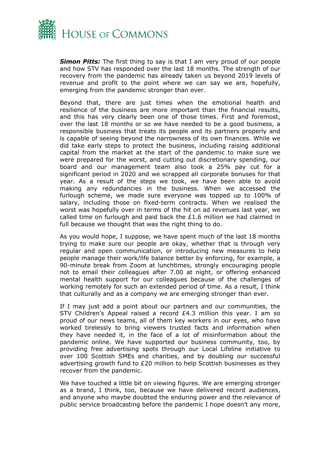

*Simon Pitts:* The first thing to say is that I am very proud of our people and how STV has responded over the last 18 months. The strength of our recovery from the pandemic has already taken us beyond 2019 levels of revenue and profit to the point where we can say we are, hopefully, emerging from the pandemic stronger than ever.

Beyond that, there are just times when the emotional health and resilience of the business are more important than the financial results, and this has very clearly been one of those times. First and foremost, over the last 18 months or so we have needed to be a good business, a responsible business that treats its people and its partners properly and is capable of seeing beyond the narrowness of its own finances. While we did take early steps to protect the business, including raising additional capital from the market at the start of the pandemic to make sure we were prepared for the worst, and cutting out discretionary spending, our board and our management team also took a 25% pay cut for a significant period in 2020 and we scrapped all corporate bonuses for that year. As a result of the steps we took, we have been able to avoid making any redundancies in the business. When we accessed the furlough scheme, we made sure everyone was topped up to 100% of salary, including those on fixed-term contracts. When we realised the worst was hopefully over in terms of the hit on ad revenues last year, we called time on furlough and paid back the  $£1.6$  million we had claimed in full because we thought that was the right thing to do.

As you would hope, I suppose, we have spent much of the last 18 months trying to make sure our people are okay, whether that is through very regular and open communication, or introducing new measures to help people manage their work/life balance better by enforcing, for example, a 90-minute break from Zoom at lunchtimes, strongly encouraging people not to email their colleagues after 7.00 at night, or offering enhanced mental health support for our colleagues because of the challenges of working remotely for such an extended period of time. As a result, I think that culturally and as a company we are emerging stronger than ever.

If I may just add a point about our partners and our communities, the STV Children's Appeal raised a record  $E4.3$  million this year. I am so proud of our news teams, all of them key workers in our eyes, who have worked tirelessly to bring viewers trusted facts and information when they have needed it, in the face of a lot of misinformation about the pandemic online. We have supported our business community, too, by providing free advertising spots through our Local Lifeline initiative to over 100 Scottish SMEs and charities, and by doubling our successful advertising growth fund to  $E20$  million to help Scottish businesses as they recover from the pandemic.

We have touched a little bit on viewing figures. We are emerging stronger as a brand, I think, too, because we have delivered record audiences, and anyone who maybe doubted the enduring power and the relevance of public service broadcasting before the pandemic I hope doesn't any more,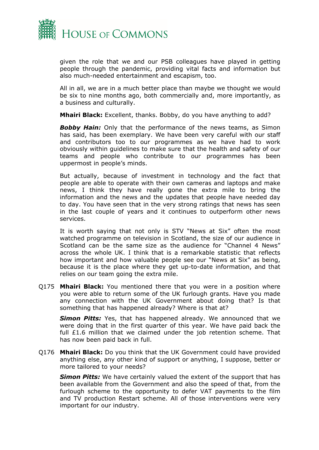

given the role that we and our PSB colleagues have played in getting people through the pandemic, providing vital facts and information but also much-needed entertainment and escapism, too.

All in all, we are in a much better place than maybe we thought we would be six to nine months ago, both commercially and, more importantly, as a business and culturally.

**Mhairi Black:** Excellent, thanks. Bobby, do you have anything to add?

*Bobby Hain:* Only that the performance of the news teams, as Simon has said, has been exemplary. We have been very careful with our staff and contributors too to our programmes as we have had to work obviously within guidelines to make sure that the health and safety of our teams and people who contribute to our programmes has been uppermost in people's minds.

But actually, because of investment in technology and the fact that people are able to operate with their own cameras and laptops and make news, I think they have really gone the extra mile to bring the information and the news and the updates that people have needed day to day. You have seen that in the very strong ratings that news has seen in the last couple of years and it continues to outperform other news services.

It is worth saying that not only is STV "News at Six" often the most watched programme on television in Scotland, the size of our audience in Scotland can be the same size as the audience for "Channel 4 News" across the whole UK. I think that is a remarkable statistic that reflects how important and how valuable people see our "News at Six" as being, because it is the place where they get up-to-date information, and that relies on our team going the extra mile.

Q175 **Mhairi Black:** You mentioned there that you were in a position where you were able to return some of the UK furlough grants. Have you made any connection with the UK Government about doing that? Is that something that has happened already? Where is that at?

*Simon Pitts:* Yes, that has happened already. We announced that we were doing that in the first quarter of this year. We have paid back the full £1.6 million that we claimed under the job retention scheme. That has now been paid back in full.

Q176 **Mhairi Black:** Do you think that the UK Government could have provided anything else, any other kind of support or anything, I suppose, better or more tailored to your needs?

*Simon Pitts:* We have certainly valued the extent of the support that has been available from the Government and also the speed of that, from the furlough scheme to the opportunity to defer VAT payments to the film and TV production Restart scheme. All of those interventions were very important for our industry.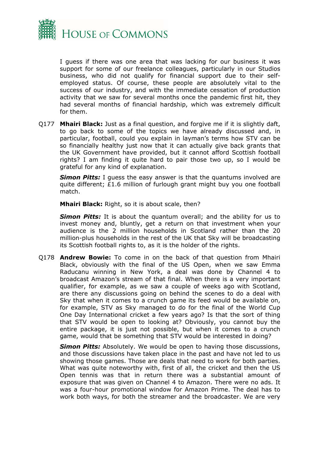

I guess if there was one area that was lacking for our business it was support for some of our freelance colleagues, particularly in our Studios business, who did not qualify for financial support due to their selfemployed status. Of course, these people are absolutely vital to the success of our industry, and with the immediate cessation of production activity that we saw for several months once the pandemic first hit, they had several months of financial hardship, which was extremely difficult for them.

Q177 **Mhairi Black:** Just as a final question, and forgive me if it is slightly daft, to go back to some of the topics we have already discussed and, in particular, football, could you explain in layman's terms how STV can be so financially healthy just now that it can actually give back grants that the UK Government have provided, but it cannot afford Scottish football rights? I am finding it quite hard to pair those two up, so I would be grateful for any kind of explanation.

**Simon Pitts:** I guess the easy answer is that the quantums involved are quite different;  $£1.6$  million of furlough grant might buy you one football match.

**Mhairi Black:** Right, so it is about scale, then?

**Simon Pitts:** It is about the quantum overall; and the ability for us to invest money and, bluntly, get a return on that investment when your audience is the 2 million households in Scotland rather than the 20 million-plus households in the rest of the UK that Sky will be broadcasting its Scottish football rights to, as it is the holder of the rights.

Q178 **Andrew Bowie:** To come in on the back of that question from Mhairi Black, obviously with the final of the US Open, when we saw Emma Raducanu winning in New York, a deal was done by Channel 4 to broadcast Amazon's stream of that final. When there is a very important qualifier, for example, as we saw a couple of weeks ago with Scotland, are there any discussions going on behind the scenes to do a deal with Sky that when it comes to a crunch game its feed would be available on, for example, STV as Sky managed to do for the final of the World Cup One Day International cricket a few years ago? Is that the sort of thing that STV would be open to looking at? Obviously, you cannot buy the entire package, it is just not possible, but when it comes to a crunch game, would that be something that STV would be interested in doing?

*Simon Pitts:* Absolutely. We would be open to having those discussions, and those discussions have taken place in the past and have not led to us showing those games. Those are deals that need to work for both parties. What was quite noteworthy with, first of all, the cricket and then the US Open tennis was that in return there was a substantial amount of exposure that was given on Channel 4 to Amazon. There were no ads. It was a four-hour promotional window for Amazon Prime. The deal has to work both ways, for both the streamer and the broadcaster. We are very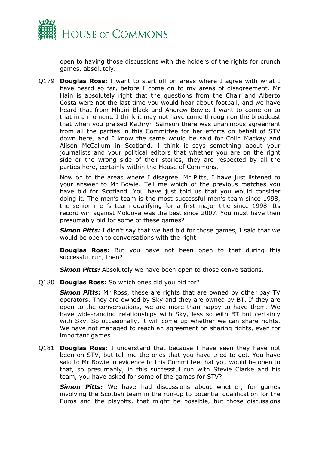

open to having those discussions with the holders of the rights for crunch games, absolutely.

Q179 **Douglas Ross:** I want to start off on areas where I agree with what I have heard so far, before I come on to my areas of disagreement. Mr Hain is absolutely right that the questions from the Chair and Alberto Costa were not the last time you would hear about football, and we have heard that from Mhairi Black and Andrew Bowie. I want to come on to that in a moment. I think it may not have come through on the broadcast that when you praised Kathryn Samson there was unanimous agreement from all the parties in this Committee for her efforts on behalf of STV down here, and I know the same would be said for Colin Mackay and Alison McCallum in Scotland. I think it says something about your journalists and your political editors that whether you are on the right side or the wrong side of their stories, they are respected by all the parties here, certainly within the House of Commons.

Now on to the areas where I disagree. Mr Pitts, I have just listened to your answer to Mr Bowie. Tell me which of the previous matches you have bid for Scotland. You have just told us that you would consider doing it. The men's team is the most successful men's team since 1998, the senior men's team qualifying for a first major title since 1998. Its record win against Moldova was the best since 2007. You must have then presumably bid for some of these games?

*Simon Pitts:* I didn't say that we had bid for those games, I said that we would be open to conversations with the right—

**Douglas Ross:** But you have not been open to that during this successful run, then?

**Simon Pitts:** Absolutely we have been open to those conversations.

Q180 **Douglas Ross:** So which ones did you bid for?

*Simon Pitts:* Mr Ross, these are rights that are owned by other pay TV operators. They are owned by Sky and they are owned by BT. If they are open to the conversations, we are more than happy to have them. We have wide-ranging relationships with Sky, less so with BT but certainly with Sky. So occasionally, it will come up whether we can share rights. We have not managed to reach an agreement on sharing rights, even for important games.

Q181 **Douglas Ross:** I understand that because I have seen they have not been on STV, but tell me the ones that you have tried to get. You have said to Mr Bowie in evidence to this Committee that you would be open to that, so presumably, in this successful run with Stevie Clarke and his team, you have asked for some of the games for STV?

*Simon Pitts:* We have had discussions about whether, for games involving the Scottish team in the run-up to potential qualification for the Euros and the playoffs, that might be possible, but those discussions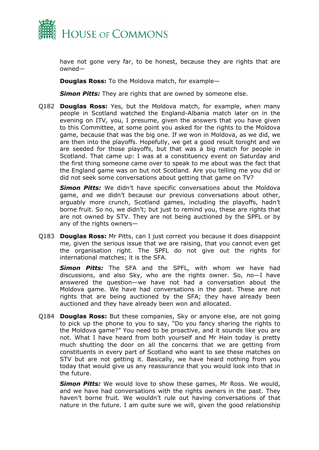

have not gone very far, to be honest, because they are rights that are owned—

**Douglas Ross:** To the Moldova match, for example—

**Simon Pitts:** They are rights that are owned by someone else.

Q182 **Douglas Ross:** Yes, but the Moldova match, for example, when many people in Scotland watched the England-Albania match later on in the evening on ITV, you, I presume, given the answers that you have given to this Committee, at some point you asked for the rights to the Moldova game, because that was the big one. If we won in Moldova, as we did, we are then into the playoffs. Hopefully, we get a good result tonight and we are seeded for those playoffs, but that was a big match for people in Scotland. That came up: I was at a constituency event on Saturday and the first thing someone came over to speak to me about was the fact that the England game was on but not Scotland. Are you telling me you did or did not seek some conversations about getting that game on TV?

*Simon Pitts:* We didn't have specific conversations about the Moldova game, and we didn't because our previous conversations about other, arguably more crunch, Scotland games, including the playoffs, hadn't borne fruit. So no, we didn't; but just to remind you, these are rights that are not owned by STV. They are not being auctioned by the SPFL or by any of the rights owners—

Q183 **Douglas Ross:** Mr Pitts, can I just correct you because it does disappoint me, given the serious issue that we are raising, that you cannot even get the organisation right. The SPFL do not give out the rights for international matches; it is the SFA.

*Simon Pitts:* The SFA and the SPFL, with whom we have had discussions, and also Sky, who are the rights owner. So, no—I have answered the question—we have not had a conversation about the Moldova game. We have had conversations in the past. These are not rights that are being auctioned by the SFA; they have already been auctioned and they have already been won and allocated.

Q184 **Douglas Ross:** But these companies, Sky or anyone else, are not going to pick up the phone to you to say, "Do you fancy sharing the rights to the Moldova game?" You need to be proactive, and it sounds like you are not. What I have heard from both yourself and Mr Hain today is pretty much shutting the door on all the concerns that we are getting from constituents in every part of Scotland who want to see these matches on STV but are not getting it. Basically, we have heard nothing from you today that would give us any reassurance that you would look into that in the future.

*Simon Pitts:* We would love to show these games, Mr Ross. We would, and we have had conversations with the rights owners in the past. They haven't borne fruit. We wouldn't rule out having conversations of that nature in the future. I am quite sure we will, given the good relationship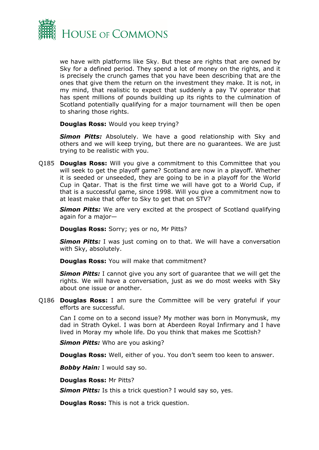

we have with platforms like Sky. But these are rights that are owned by Sky for a defined period. They spend a lot of money on the rights, and it is precisely the crunch games that you have been describing that are the ones that give them the return on the investment they make. It is not, in my mind, that realistic to expect that suddenly a pay TV operator that has spent millions of pounds building up its rights to the culmination of Scotland potentially qualifying for a major tournament will then be open to sharing those rights.

**Douglas Ross:** Would you keep trying?

*Simon Pitts:* Absolutely. We have a good relationship with Sky and others and we will keep trying, but there are no guarantees. We are just trying to be realistic with you.

Q185 **Douglas Ross:** Will you give a commitment to this Committee that you will seek to get the playoff game? Scotland are now in a playoff. Whether it is seeded or unseeded, they are going to be in a playoff for the World Cup in Qatar. That is the first time we will have got to a World Cup, if that is a successful game, since 1998. Will you give a commitment now to at least make that offer to Sky to get that on STV?

**Simon Pitts:** We are very excited at the prospect of Scotland qualifying again for a major—

**Douglas Ross:** Sorry; yes or no, Mr Pitts?

*Simon Pitts:* I was just coming on to that. We will have a conversation with Sky, absolutely.

**Douglas Ross:** You will make that commitment?

*Simon Pitts:* I cannot give you any sort of guarantee that we will get the rights. We will have a conversation, just as we do most weeks with Sky about one issue or another.

Q186 **Douglas Ross:** I am sure the Committee will be very grateful if your efforts are successful.

Can I come on to a second issue? My mother was born in Monymusk, my dad in Strath Oykel. I was born at Aberdeen Royal Infirmary and I have lived in Moray my whole life. Do you think that makes me Scottish?

*Simon Pitts:* Who are you asking?

**Douglas Ross:** Well, either of you. You don't seem too keen to answer.

*Bobby Hain:* I would say so.

**Douglas Ross:** Mr Pitts?

*Simon Pitts:* Is this a trick question? I would say so, yes.

**Douglas Ross:** This is not a trick question.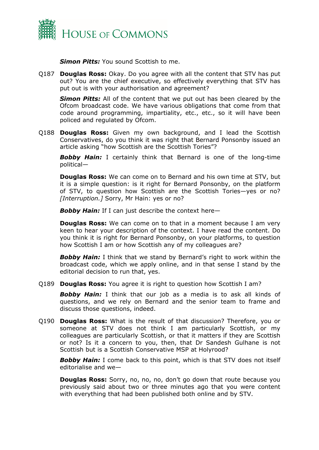

*Simon Pitts:* You sound Scottish to me.

Q187 **Douglas Ross:** Okay. Do you agree with all the content that STV has put out? You are the chief executive, so effectively everything that STV has put out is with your authorisation and agreement?

*Simon Pitts:* All of the content that we put out has been cleared by the Ofcom broadcast code. We have various obligations that come from that code around programming, impartiality, etc., etc., so it will have been policed and regulated by Ofcom.

Q188 **Douglas Ross:** Given my own background, and I lead the Scottish Conservatives, do you think it was right that Bernard Ponsonby issued an article asking "how Scottish are the Scottish Tories"?

*Bobby Hain:* I certainly think that Bernard is one of the long-time political—

**Douglas Ross:** We can come on to Bernard and his own time at STV, but it is a simple question: is it right for Bernard Ponsonby, on the platform of STV, to question how Scottish are the Scottish Tories—yes or no? *[Interruption.]* Sorry, Mr Hain: yes or no?

*Bobby Hain:* If I can just describe the context here—

**Douglas Ross:** We can come on to that in a moment because I am very keen to hear your description of the context. I have read the content. Do you think it is right for Bernard Ponsonby, on your platforms, to question how Scottish I am or how Scottish any of my colleagues are?

**Bobby Hain:** I think that we stand by Bernard's right to work within the broadcast code, which we apply online, and in that sense I stand by the editorial decision to run that, yes.

Q189 **Douglas Ross:** You agree it is right to question how Scottish I am?

*Bobby Hain:* I think that our job as a media is to ask all kinds of questions, and we rely on Bernard and the senior team to frame and discuss those questions, indeed.

Q190 **Douglas Ross:** What is the result of that discussion? Therefore, you or someone at STV does not think I am particularly Scottish, or my colleagues are particularly Scottish, or that it matters if they are Scottish or not? Is it a concern to you, then, that Dr Sandesh Gulhane is not Scottish but is a Scottish Conservative MSP at Holyrood?

*Bobby Hain:* I come back to this point, which is that STV does not itself editorialise and we—

**Douglas Ross:** Sorry, no, no, no, don't go down that route because you previously said about two or three minutes ago that you were content with everything that had been published both online and by STV.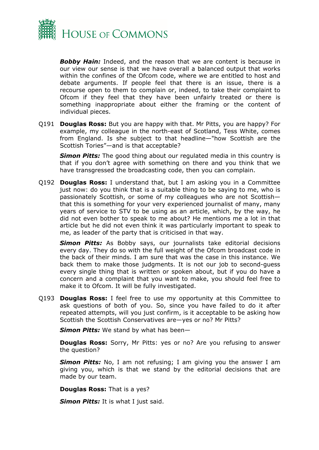

*Bobby Hain:* Indeed, and the reason that we are content is because in our view our sense is that we have overall a balanced output that works within the confines of the Ofcom code, where we are entitled to host and debate arguments. If people feel that there is an issue, there is a recourse open to them to complain or, indeed, to take their complaint to Ofcom if they feel that they have been unfairly treated or there is something inappropriate about either the framing or the content of individual pieces.

Q191 **Douglas Ross:** But you are happy with that. Mr Pitts, you are happy? For example, my colleague in the north-east of Scotland, Tess White, comes from England. Is she subject to that headline—"how Scottish are the Scottish Tories"—and is that acceptable?

*Simon Pitts:* The good thing about our regulated media in this country is that if you don't agree with something on there and you think that we have transgressed the broadcasting code, then you can complain.

Q192 **Douglas Ross:** I understand that, but I am asking you in a Committee just now: do you think that is a suitable thing to be saying to me, who is passionately Scottish, or some of my colleagues who are not Scottish that this is something for your very experienced journalist of many, many years of service to STV to be using as an article, which, by the way, he did not even bother to speak to me about? He mentions me a lot in that article but he did not even think it was particularly important to speak to me, as leader of the party that is criticised in that way.

*Simon Pitts:* As Bobby says, our journalists take editorial decisions every day. They do so with the full weight of the Ofcom broadcast code in the back of their minds. I am sure that was the case in this instance. We back them to make those judgments. It is not our job to second-guess every single thing that is written or spoken about, but if you do have a concern and a complaint that you want to make, you should feel free to make it to Ofcom. It will be fully investigated.

Q193 **Douglas Ross:** I feel free to use my opportunity at this Committee to ask questions of both of you. So, since you have failed to do it after repeated attempts, will you just confirm, is it acceptable to be asking how Scottish the Scottish Conservatives are—yes or no? Mr Pitts?

*Simon Pitts:* We stand by what has been—

**Douglas Ross:** Sorry, Mr Pitts: yes or no? Are you refusing to answer the question?

*Simon Pitts:* No, I am not refusing; I am giving you the answer I am giving you, which is that we stand by the editorial decisions that are made by our team.

**Douglas Ross:** That is a yes?

*Simon Pitts:* It is what I just said.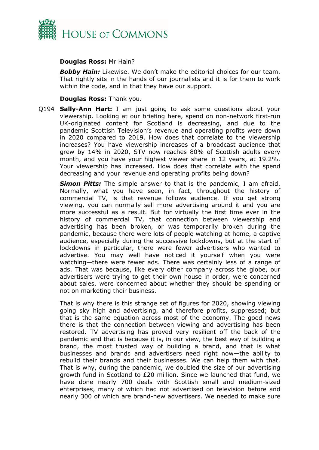

## **Douglas Ross:** Mr Hain?

*Bobby Hain:* Likewise. We don't make the editorial choices for our team. That rightly sits in the hands of our journalists and it is for them to work within the code, and in that they have our support.

### **Douglas Ross:** Thank you.

Q194 **Sally-Ann Hart:** I am just going to ask some questions about your viewership. Looking at our briefing here, spend on non-network first-run UK-originated content for Scotland is decreasing, and due to the pandemic Scottish Television's revenue and operating profits were down in 2020 compared to 2019. How does that correlate to the viewership increases? You have viewership increases of a broadcast audience that grew by 14% in 2020, STV now reaches 80% of Scottish adults every month, and you have your highest viewer share in 12 years, at 19.2%. Your viewership has increased. How does that correlate with the spend decreasing and your revenue and operating profits being down?

*Simon Pitts:* The simple answer to that is the pandemic, I am afraid. Normally, what you have seen, in fact, throughout the history of commercial TV, is that revenue follows audience. If you get strong viewing, you can normally sell more advertising around it and you are more successful as a result. But for virtually the first time ever in the history of commercial TV, that connection between viewership and advertising has been broken, or was temporarily broken during the pandemic, because there were lots of people watching at home, a captive audience, especially during the successive lockdowns, but at the start of lockdowns in particular, there were fewer advertisers who wanted to advertise. You may well have noticed it yourself when you were watching—there were fewer ads. There was certainly less of a range of ads. That was because, like every other company across the globe, our advertisers were trying to get their own house in order, were concerned about sales, were concerned about whether they should be spending or not on marketing their business.

That is why there is this strange set of figures for 2020, showing viewing going sky high and advertising, and therefore profits, suppressed; but that is the same equation across most of the economy. The good news there is that the connection between viewing and advertising has been restored. TV advertising has proved very resilient off the back of the pandemic and that is because it is, in our view, the best way of building a brand, the most trusted way of building a brand, and that is what businesses and brands and advertisers need right now—the ability to rebuild their brands and their businesses. We can help them with that. That is why, during the pandemic, we doubled the size of our advertising growth fund in Scotland to £20 million. Since we launched that fund, we have done nearly 700 deals with Scottish small and medium-sized enterprises, many of which had not advertised on television before and nearly 300 of which are brand-new advertisers. We needed to make sure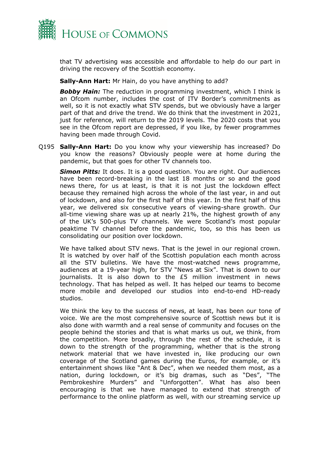

that TV advertising was accessible and affordable to help do our part in driving the recovery of the Scottish economy.

**Sally-Ann Hart:** Mr Hain, do you have anything to add?

*Bobby Hain:* The reduction in programming investment, which I think is an Ofcom number, includes the cost of ITV Border's commitments as well, so it is not exactly what STV spends, but we obviously have a larger part of that and drive the trend. We do think that the investment in 2021, just for reference, will return to the 2019 levels. The 2020 costs that you see in the Ofcom report are depressed, if you like, by fewer programmes having been made through Covid.

Q195 **Sally-Ann Hart:** Do you know why your viewership has increased? Do you know the reasons? Obviously people were at home during the pandemic, but that goes for other TV channels too.

*Simon Pitts:* It does. It is a good question. You are right. Our audiences have been record-breaking in the last 18 months or so and the good news there, for us at least, is that it is not just the lockdown effect because they remained high across the whole of the last year, in and out of lockdown, and also for the first half of this year. In the first half of this year, we delivered six consecutive years of viewing-share growth. Our all-time viewing share was up at nearly 21%, the highest growth of any of the UK's 500-plus TV channels. We were Scotland's most popular peaktime TV channel before the pandemic, too, so this has been us consolidating our position over lockdown.

We have talked about STV news. That is the jewel in our regional crown. It is watched by over half of the Scottish population each month across all the STV bulletins. We have the most-watched news programme, audiences at a 19-year high, for STV "News at Six". That is down to our journalists. It is also down to the £5 million investment in news technology. That has helped as well. It has helped our teams to become more mobile and developed our studios into end-to-end HD-ready studios.

We think the key to the success of news, at least, has been our tone of voice. We are the most comprehensive source of Scottish news but it is also done with warmth and a real sense of community and focuses on the people behind the stories and that is what marks us out, we think, from the competition. More broadly, through the rest of the schedule, it is down to the strength of the programming, whether that is the strong network material that we have invested in, like producing our own coverage of the Scotland games during the Euros, for example, or it's entertainment shows like "Ant & Dec", when we needed them most, as a nation, during lockdown, or it's big dramas, such as "Des", "The Pembrokeshire Murders" and "Unforgotten". What has also been encouraging is that we have managed to extend that strength of performance to the online platform as well, with our streaming service up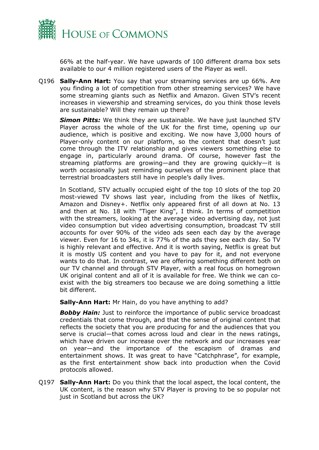

66% at the half-year. We have upwards of 100 different drama box sets available to our 4 million registered users of the Player as well.

Q196 **Sally-Ann Hart:** You say that your streaming services are up 66%. Are you finding a lot of competition from other streaming services? We have some streaming giants such as Netflix and Amazon. Given STV's recent increases in viewership and streaming services, do you think those levels are sustainable? Will they remain up there?

*Simon Pitts:* We think they are sustainable. We have just launched STV Player across the whole of the UK for the first time, opening up our audience, which is positive and exciting. We now have 3,000 hours of Player-only content on our platform, so the content that doesn't just come through the ITV relationship and gives viewers something else to engage in, particularly around drama. Of course, however fast the streaming platforms are growing—and they are growing quickly—it is worth occasionally just reminding ourselves of the prominent place that terrestrial broadcasters still have in people's daily lives.

In Scotland, STV actually occupied eight of the top 10 slots of the top 20 most-viewed TV shows last year, including from the likes of Netflix, Amazon and Disney+. Netflix only appeared first of all down at No. 13 and then at No. 18 with "Tiger King", I think. In terms of competition with the streamers, looking at the average video advertising day, not just video consumption but video advertising consumption, broadcast TV still accounts for over 90% of the video ads seen each day by the average viewer. Even for 16 to 34s, it is 77% of the ads they see each day. So TV is highly relevant and effective. And it is worth saying, Netflix is great but it is mostly US content and you have to pay for it, and not everyone wants to do that. In contrast, we are offering something different both on our TV channel and through STV Player, with a real focus on homegrown UK original content and all of it is available for free. We think we can coexist with the big streamers too because we are doing something a little bit different.

**Sally-Ann Hart:** Mr Hain, do you have anything to add?

**Bobby Hain:** Just to reinforce the importance of public service broadcast credentials that come through, and that the sense of original content that reflects the society that you are producing for and the audiences that you serve is crucial—that comes across loud and clear in the news ratings, which have driven our increase over the network and our increases year on year—and the importance of the escapism of dramas and entertainment shows. It was great to have "Catchphrase", for example, as the first entertainment show back into production when the Covid protocols allowed.

Q197 **Sally-Ann Hart:** Do you think that the local aspect, the local content, the UK content, is the reason why STV Player is proving to be so popular not just in Scotland but across the UK?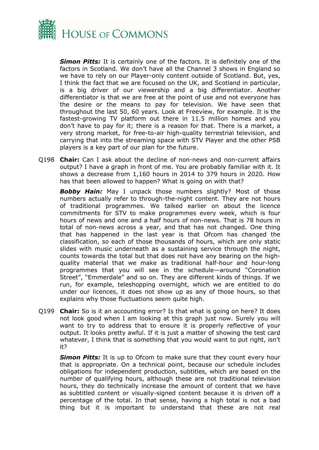

*Simon Pitts:* It is certainly one of the factors. It is definitely one of the factors in Scotland. We don't have all the Channel 3 shows in England so we have to rely on our Player-only content outside of Scotland. But, yes, I think the fact that we are focused on the UK, and Scotland in particular, is a big driver of our viewership and a big differentiator. Another differentiator is that we are free at the point of use and not everyone has the desire or the means to pay for television. We have seen that throughout the last 50, 60 years. Look at Freeview, for example. It is the fastest-growing TV platform out there in 11.5 million homes and you don't have to pay for it; there is a reason for that. There is a market, a very strong market, for free-to-air high-quality terrestrial television, and carrying that into the streaming space with STV Player and the other PSB players is a key part of our plan for the future.

Q198 **Chair:** Can I ask about the decline of non-news and non-current affairs output? I have a graph in front of me. You are probably familiar with it. It shows a decrease from 1,160 hours in 2014 to 379 hours in 2020. How has that been allowed to happen? What is going on with that?

*Bobby Hain:* May I unpack those numbers slightly? Most of those numbers actually refer to through-the-night content. They are not hours of traditional programmes. We talked earlier on about the licence commitments for STV to make programmes every week, which is four hours of news and one and a half hours of non-news. That is 78 hours in total of non-news across a year, and that has not changed. One thing that has happened in the last year is that Ofcom has changed the classification, so each of those thousands of hours, which are only static slides with music underneath as a sustaining service through the night, counts towards the total but that does not have any bearing on the highquality material that we make as traditional half-hour and hour-long programmes that you will see in the schedule—around "Coronation Street", "Emmerdale" and so on. They are different kinds of things. If we run, for example, teleshopping overnight, which we are entitled to do under our licences, it does not show up as any of those hours, so that explains why those fluctuations seem quite high.

Q199 **Chair:** So is it an accounting error? Is that what is going on here? It does not look good when I am looking at this graph just now. Surely you will want to try to address that to ensure it is properly reflective of your output. It looks pretty awful. If it is just a matter of showing the test card whatever, I think that is something that you would want to put right, isn't it?

**Simon Pitts:** It is up to Ofcom to make sure that they count every hour that is appropriate. On a technical point, because our schedule includes obligations for independent production, subtitles, which are based on the number of qualifying hours, although these are not traditional television hours, they do technically increase the amount of content that we have as subtitled content or visually-signed content because it is driven off a percentage of the total. In that sense, having a high total is not a bad thing but it is important to understand that these are not real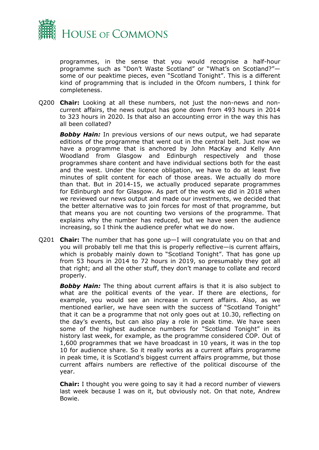

programmes, in the sense that you would recognise a half-hour programme such as "Don't Waste Scotland" or "What's on Scotland?" some of our peaktime pieces, even "Scotland Tonight". This is a different kind of programming that is included in the Ofcom numbers, I think for completeness.

Q200 **Chair:** Looking at all these numbers, not just the non-news and noncurrent affairs, the news output has gone down from 493 hours in 2014 to 323 hours in 2020. Is that also an accounting error in the way this has all been collated?

*Bobby Hain:* In previous versions of our news output, we had separate editions of the programme that went out in the central belt. Just now we have a programme that is anchored by John MacKay and Kelly Ann Woodland from Glasgow and Edinburgh respectively and those programmes share content and have individual sections both for the east and the west. Under the licence obligation, we have to do at least five minutes of split content for each of those areas. We actually do more than that. But in 2014-15, we actually produced separate programmes for Edinburgh and for Glasgow. As part of the work we did in 2018 when we reviewed our news output and made our investments, we decided that the better alternative was to join forces for most of that programme, but that means you are not counting two versions of the programme. That explains why the number has reduced, but we have seen the audience increasing, so I think the audience prefer what we do now.

Q201 **Chair:** The number that has gone up—I will congratulate you on that and you will probably tell me that this is properly reflective—is current affairs, which is probably mainly down to "Scotland Tonight". That has gone up from 53 hours in 2014 to 72 hours in 2019, so presumably they got all that right; and all the other stuff, they don't manage to collate and record properly.

*Bobby Hain:* The thing about current affairs is that it is also subject to what are the political events of the year. If there are elections, for example, you would see an increase in current affairs. Also, as we mentioned earlier, we have seen with the success of "Scotland Tonight" that it can be a programme that not only goes out at 10.30, reflecting on the day's events, but can also play a role in peak time. We have seen some of the highest audience numbers for "Scotland Tonight" in its history last week, for example, as the programme considered COP. Out of 1,600 programmes that we have broadcast in 10 years, it was in the top 10 for audience share. So it really works as a current affairs programme in peak time, it is Scotland's biggest current affairs programme, but those current affairs numbers are reflective of the political discourse of the year.

**Chair:** I thought you were going to say it had a record number of viewers last week because I was on it, but obviously not. On that note, Andrew Bowie.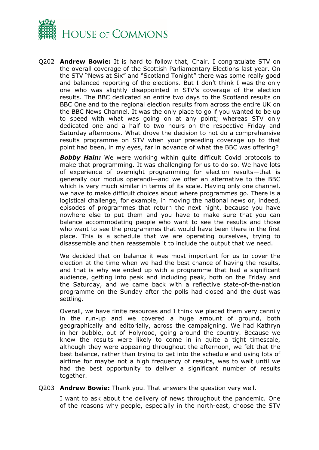

Q202 **Andrew Bowie:** It is hard to follow that, Chair. I congratulate STV on the overall coverage of the Scottish Parliamentary Elections last year. On the STV "News at Six" and "Scotland Tonight" there was some really good and balanced reporting of the elections. But I don't think I was the only one who was slightly disappointed in STV's coverage of the election results. The BBC dedicated an entire two days to the Scotland results on BBC One and to the regional election results from across the entire UK on the BBC News Channel. It was the only place to go if you wanted to be up to speed with what was going on at any point; whereas STV only dedicated one and a half to two hours on the respective Friday and Saturday afternoons. What drove the decision to not do a comprehensive results programme on STV when your preceding coverage up to that point had been, in my eyes, far in advance of what the BBC was offering?

**Bobby Hain:** We were working within quite difficult Covid protocols to make that programming. It was challenging for us to do so. We have lots of experience of overnight programming for election results—that is generally our modus operandi—and we offer an alternative to the BBC which is very much similar in terms of its scale. Having only one channel, we have to make difficult choices about where programmes go. There is a logistical challenge, for example, in moving the national news or, indeed, episodes of programmes that return the next night, because you have nowhere else to put them and you have to make sure that you can balance accommodating people who want to see the results and those who want to see the programmes that would have been there in the first place. This is a schedule that we are operating ourselves, trying to disassemble and then reassemble it to include the output that we need.

We decided that on balance it was most important for us to cover the election at the time when we had the best chance of having the results, and that is why we ended up with a programme that had a significant audience, getting into peak and including peak, both on the Friday and the Saturday, and we came back with a reflective state-of-the-nation programme on the Sunday after the polls had closed and the dust was settling.

Overall, we have finite resources and I think we placed them very cannily in the run-up and we covered a huge amount of ground, both geographically and editorially, across the campaigning. We had Kathryn in her bubble, out of Holyrood, going around the country. Because we knew the results were likely to come in in quite a tight timescale, although they were appearing throughout the afternoon, we felt that the best balance, rather than trying to get into the schedule and using lots of airtime for maybe not a high frequency of results, was to wait until we had the best opportunity to deliver a significant number of results together.

Q203 **Andrew Bowie:** Thank you. That answers the question very well.

I want to ask about the delivery of news throughout the pandemic. One of the reasons why people, especially in the north-east, choose the STV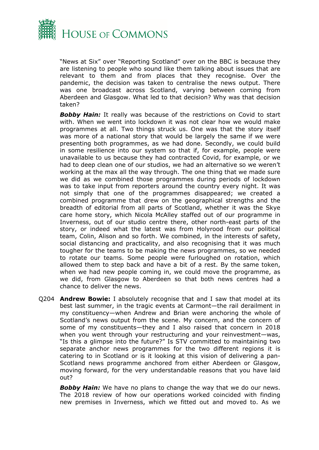

"News at Six" over "Reporting Scotland" over on the BBC is because they are listening to people who sound like them talking about issues that are relevant to them and from places that they recognise. Over the pandemic, the decision was taken to centralise the news output. There was one broadcast across Scotland, varying between coming from Aberdeen and Glasgow. What led to that decision? Why was that decision taken?

**Bobby Hain:** It really was because of the restrictions on Covid to start with. When we went into lockdown it was not clear how we would make programmes at all. Two things struck us. One was that the story itself was more of a national story that would be largely the same if we were presenting both programmes, as we had done. Secondly, we could build in some resilience into our system so that if, for example, people were unavailable to us because they had contracted Covid, for example, or we had to deep clean one of our studios, we had an alternative so we weren't working at the max all the way through. The one thing that we made sure we did as we combined those programmes during periods of lockdown was to take input from reporters around the country every night. It was not simply that one of the programmes disappeared; we created a combined programme that drew on the geographical strengths and the breadth of editorial from all parts of Scotland, whether it was the Skye care home story, which Nicola McAlley staffed out of our programme in Inverness, out of our studio centre there, other north-east parts of the story, or indeed what the latest was from Holyrood from our political team, Colin, Alison and so forth. We combined, in the interests of safety, social distancing and practicality, and also recognising that it was much tougher for the teams to be making the news programmes, so we needed to rotate our teams. Some people were furloughed on rotation, which allowed them to step back and have a bit of a rest. By the same token, when we had new people coming in, we could move the programme, as we did, from Glasgow to Aberdeen so that both news centres had a chance to deliver the news.

Q204 **Andrew Bowie:** I absolutely recognise that and I saw that model at its best last summer, in the tragic events at Carmont—the rail derailment in my constituency—when Andrew and Brian were anchoring the whole of Scotland's news output from the scene. My concern, and the concern of some of my constituents—they and I also raised that concern in 2018 when you went through your restructuring and your reinvestment—was, "Is this a glimpse into the future?" Is STV committed to maintaining two separate anchor news programmes for the two different regions it is catering to in Scotland or is it looking at this vision of delivering a pan-Scotland news programme anchored from either Aberdeen or Glasgow, moving forward, for the very understandable reasons that you have laid out?

**Bobby Hain:** We have no plans to change the way that we do our news. The 2018 review of how our operations worked coincided with finding new premises in Inverness, which we fitted out and moved to. As we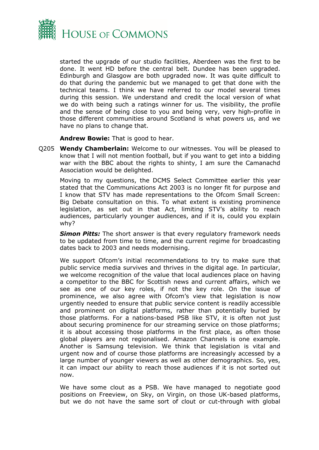

started the upgrade of our studio facilities, Aberdeen was the first to be done. It went HD before the central belt. Dundee has been upgraded. Edinburgh and Glasgow are both upgraded now. It was quite difficult to do that during the pandemic but we managed to get that done with the technical teams. I think we have referred to our model several times during this session. We understand and credit the local version of what we do with being such a ratings winner for us. The visibility, the profile and the sense of being close to you and being very, very high-profile in those different communities around Scotland is what powers us, and we have no plans to change that.

**Andrew Bowie:** That is good to hear.

Q205 **Wendy Chamberlain:** Welcome to our witnesses. You will be pleased to know that I will not mention football, but if you want to get into a bidding war with the BBC about the rights to shinty, I am sure the Camanachd Association would be delighted.

Moving to my questions, the DCMS Select Committee earlier this year stated that the Communications Act 2003 is no longer fit for purpose and I know that STV has made representations to the Ofcom Small Screen: Big Debate consultation on this. To what extent is existing prominence legislation, as set out in that Act, limiting STV's ability to reach audiences, particularly younger audiences, and if it is, could you explain why?

*Simon Pitts:* The short answer is that every regulatory framework needs to be updated from time to time, and the current regime for broadcasting dates back to 2003 and needs modernising.

We support Ofcom's initial recommendations to try to make sure that public service media survives and thrives in the digital age. In particular, we welcome recognition of the value that local audiences place on having a competitor to the BBC for Scottish news and current affairs, which we see as one of our key roles, if not the key role. On the issue of prominence, we also agree with Ofcom's view that legislation is now urgently needed to ensure that public service content is readily accessible and prominent on digital platforms, rather than potentially buried by those platforms. For a nations-based PSB like STV, it is often not just about securing prominence for our streaming service on those platforms; it is about accessing those platforms in the first place, as often those global players are not regionalised. Amazon Channels is one example. Another is Samsung television. We think that legislation is vital and urgent now and of course those platforms are increasingly accessed by a large number of younger viewers as well as other demographics. So, yes, it can impact our ability to reach those audiences if it is not sorted out now.

We have some clout as a PSB. We have managed to negotiate good positions on Freeview, on Sky, on Virgin, on those UK-based platforms, but we do not have the same sort of clout or cut-through with global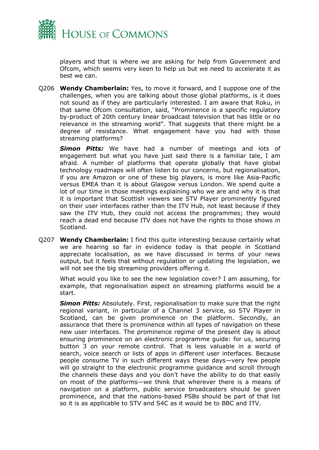

players and that is where we are asking for help from Government and Ofcom, which seems very keen to help us but we need to accelerate it as best we can.

Q206 **Wendy Chamberlain:** Yes, to move it forward, and I suppose one of the challenges, when you are talking about those global platforms, is it does not sound as if they are particularly interested. I am aware that Roku, in that same Ofcom consultation, said, "Prominence is a specific regulatory by-product of 20th century linear broadcast television that has little or no relevance in the streaming world". That suggests that there might be a degree of resistance. What engagement have you had with those streaming platforms?

*Simon Pitts:* We have had a number of meetings and lots of engagement but what you have just said there is a familiar tale, I am afraid. A number of platforms that operate globally that have global technology roadmaps will often listen to our concerns, but regionalisation, if you are Amazon or one of these big players, is more like Asia-Pacific versus EMEA than it is about Glasgow versus London. We spend quite a lot of our time in those meetings explaining who we are and why it is that it is important that Scottish viewers see STV Player prominently figured on their user interfaces rather than the ITV Hub, not least because if they saw the ITV Hub, they could not access the programmes; they would reach a dead end because ITV does not have the rights to those shows in Scotland.

Q207 **Wendy Chamberlain:** I find this quite interesting because certainly what we are hearing so far in evidence today is that people in Scotland appreciate localisation, as we have discussed in terms of your news output, but it feels that without regulation or updating the legislation, we will not see the big streaming providers offering it.

What would you like to see the new legislation cover? I am assuming, for example, that regionalisation aspect on streaming platforms would be a start.

*Simon Pitts:* Absolutely. First, regionalisation to make sure that the right regional variant, in particular of a Channel 3 service, so STV Player in Scotland, can be given prominence on the platform. Secondly, an assurance that there is prominence within all types of navigation on these new user interfaces. The prominence regime of the present day is about ensuring prominence on an electronic programme guide: for us, securing button 3 on your remote control. That is less valuable in a world of search, voice search or lists of apps in different user interfaces. Because people consume TV in such different ways these days—very few people will go straight to the electronic programme guidance and scroll through the channels these days and you don't have the ability to do that easily on most of the platforms—we think that wherever there is a means of navigation on a platform, public service broadcasters should be given prominence, and that the nations-based PSBs should be part of that list so it is as applicable to STV and S4C as it would be to BBC and ITV.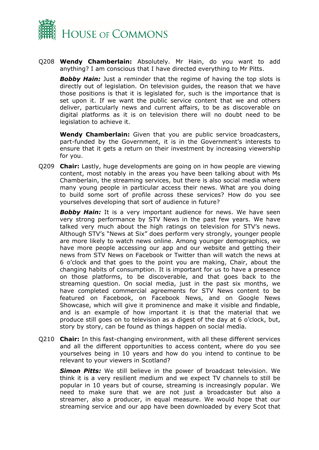

Q208 **Wendy Chamberlain:** Absolutely. Mr Hain, do you want to add anything? I am conscious that I have directed everything to Mr Pitts.

**Bobby Hain:** Just a reminder that the regime of having the top slots is directly out of legislation. On television guides, the reason that we have those positions is that it is legislated for, such is the importance that is set upon it. If we want the public service content that we and others deliver, particularly news and current affairs, to be as discoverable on digital platforms as it is on television there will no doubt need to be legislation to achieve it.

**Wendy Chamberlain:** Given that you are public service broadcasters, part-funded by the Government, it is in the Government's interests to ensure that it gets a return on their investment by increasing viewership for you.

Q209 **Chair:** Lastly, huge developments are going on in how people are viewing content, most notably in the areas you have been talking about with Ms Chamberlain, the streaming services, but there is also social media where many young people in particular access their news. What are you doing to build some sort of profile across these services? How do you see yourselves developing that sort of audience in future?

**Bobby Hain:** It is a very important audience for news. We have seen very strong performance by STV News in the past few years. We have talked very much about the high ratings on television for STV's news. Although STV's "News at Six" does perform very strongly, younger people are more likely to watch news online. Among younger demographics, we have more people accessing our app and our website and getting their news from STV News on Facebook or Twitter than will watch the news at 6 o'clock and that goes to the point you are making, Chair, about the changing habits of consumption. It is important for us to have a presence on those platforms, to be discoverable, and that goes back to the streaming question. On social media, just in the past six months, we have completed commercial agreements for STV News content to be featured on Facebook, on Facebook News, and on Google News Showcase, which will give it prominence and make it visible and findable, and is an example of how important it is that the material that we produce still goes on to television as a digest of the day at 6 o'clock, but, story by story, can be found as things happen on social media.

Q210 **Chair:** In this fast-changing environment, with all these different services and all the different opportunities to access content, where do you see yourselves being in 10 years and how do you intend to continue to be relevant to your viewers in Scotland?

*Simon Pitts:* We still believe in the power of broadcast television. We think it is a very resilient medium and we expect TV channels to still be popular in 10 years but of course, streaming is increasingly popular. We need to make sure that we are not just a broadcaster but also a streamer, also a producer, in equal measure. We would hope that our streaming service and our app have been downloaded by every Scot that